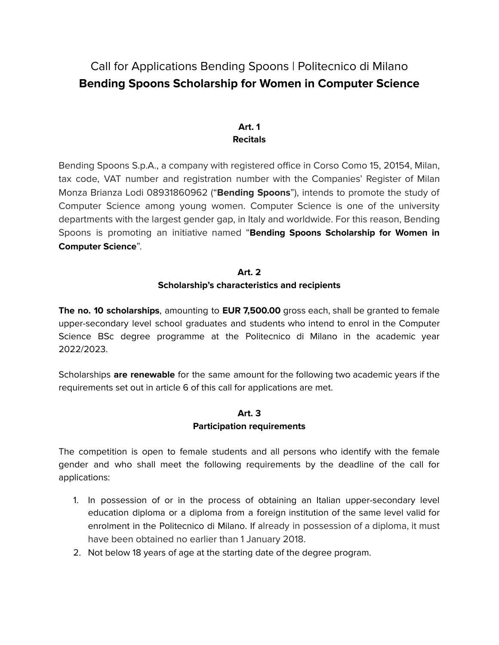# Call for Applications Bending Spoons | Politecnico di Milano **Bending Spoons Scholarship for Women in Computer Science**

## **Art. 1 Recitals**

Bending Spoons S.p.A., a company with registered office in Corso Como 15, 20154, Milan, tax code, VAT number and registration number with the Companies' Register of Milan Monza Brianza Lodi 08931860962 ("**Bending Spoons**"), intends to promote the study of Computer Science among young women. Computer Science is one of the university departments with the largest gender gap, in Italy and worldwide. For this reason, Bending Spoons is promoting an initiative named "**Bending Spoons Scholarship for Women in Computer Science**".

#### **Art. 2 Scholarship's characteristics and recipients**

**The no. 10 scholarships**, amounting to **EUR 7,500.00** gross each, shall be granted to female upper-secondary level school graduates and students who intend to enrol in the Computer Science BSc degree programme at the Politecnico di Milano in the academic year 2022/2023.

Scholarships **are renewable** for the same amount for the following two academic years if the requirements set out in article 6 of this call for applications are met.

# **Art. 3 Participation requirements**

The competition is open to female students and all persons who identify with the female gender and who shall meet the following requirements by the deadline of the call for applications:

- 1. In possession of or in the process of obtaining an Italian upper-secondary level education diploma or a diploma from a foreign institution of the same level valid for enrolment in the Politecnico di Milano. If already in possession of a diploma, it must have been obtained no earlier than 1 January 2018.
- 2. Not below 18 years of age at the starting date of the degree program.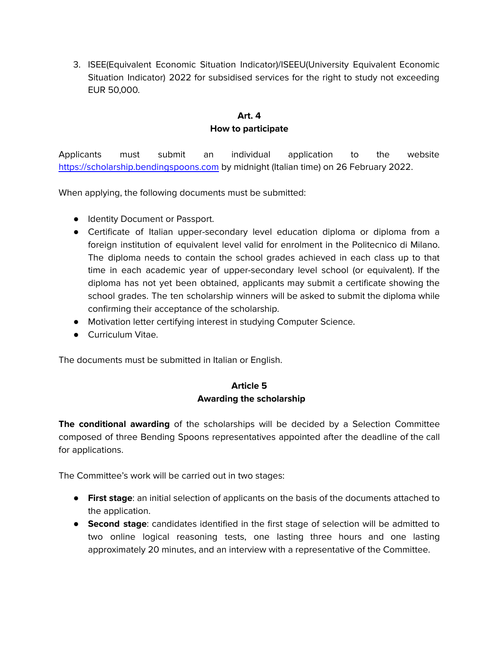3. ISEE(Equivalent Economic Situation Indicator)/ISEEU(University Equivalent Economic Situation Indicator) 2022 for subsidised services for the right to study not exceeding EUR 50,000.

# **Art. 4 How to participate**

Applicants must submit an individual application to the website <https://scholarship.bendingspoons.com> by midnight (Italian time) on 26 February 2022.

When applying, the following documents must be submitted:

- Identity Document or Passport.
- Certificate of Italian upper-secondary level education diploma or diploma from a foreign institution of equivalent level valid for enrolment in the Politecnico di Milano. The diploma needs to contain the school grades achieved in each class up to that time in each academic year of upper-secondary level school (or equivalent). If the diploma has not yet been obtained, applicants may submit a certificate showing the school grades. The ten scholarship winners will be asked to submit the diploma while confirming their acceptance of the scholarship.
- Motivation letter certifying interest in studying Computer Science.
- Curriculum Vitae.

The documents must be submitted in Italian or English.

## **Article 5 Awarding the scholarship**

**The conditional awarding** of the scholarships will be decided by a Selection Committee composed of three Bending Spoons representatives appointed after the deadline of the call for applications.

The Committee's work will be carried out in two stages:

- **First stage**: an initial selection of applicants on the basis of the documents attached to the application.
- **Second stage**: candidates identified in the first stage of selection will be admitted to two online logical reasoning tests, one lasting three hours and one lasting approximately 20 minutes, and an interview with a representative of the Committee.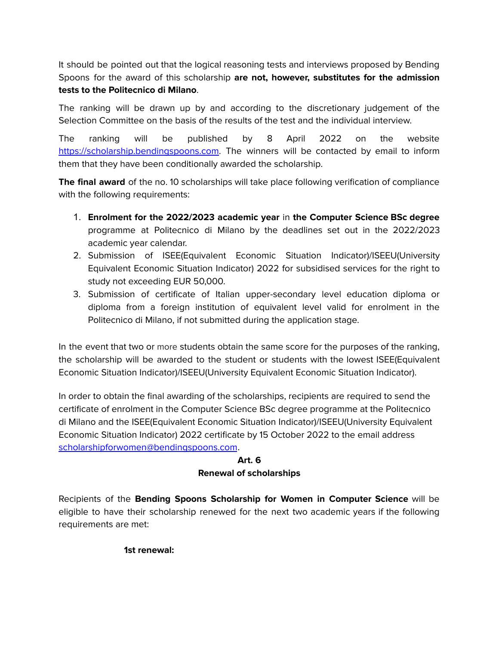It should be pointed out that the logical reasoning tests and interviews proposed by Bending Spoons for the award of this scholarship **are not, however, substitutes for the admission tests to the Politecnico di Milano**.

The ranking will be drawn up by and according to the discretionary judgement of the Selection Committee on the basis of the results of the test and the individual interview.

The ranking will be published by 8 April 2022 on the website [https://scholarship.bendingspoons.com.](https://scholarship.bendingspoons.com) The winners will be contacted by email to inform them that they have been conditionally awarded the scholarship.

**The final award** of the no. 10 scholarships will take place following verification of compliance with the following requirements:

- 1. **Enrolment for the 2022/2023 academic year** in **the Computer Science BSc degree** programme at Politecnico di Milano by the deadlines set out in the 2022/2023 academic year calendar.
- 2. Submission of ISEE(Equivalent Economic Situation Indicator)/ISEEU(University Equivalent Economic Situation Indicator) 2022 for subsidised services for the right to study not exceeding EUR 50,000.
- 3. Submission of certificate of Italian upper-secondary level education diploma or diploma from a foreign institution of equivalent level valid for enrolment in the Politecnico di Milano, if not submitted during the application stage.

In the event that two or more students obtain the same score for the purposes of the ranking, the scholarship will be awarded to the student or students with the lowest ISEE(Equivalent Economic Situation Indicator)/ISEEU(University Equivalent Economic Situation Indicator).

In order to obtain the final awarding of the scholarships, recipients are required to send the certificate of enrolment in the Computer Science BSc degree programme at the Politecnico di Milano and the ISEE(Equivalent Economic Situation Indicator)/ISEEU(University Equivalent Economic Situation Indicator) 2022 certificate by 15 October 2022 to the email address [scholarshipforwomen@bendingspoons.com](mailto:scholarshipforwomen@bendingspoons.com).

## **Art. 6 Renewal of scholarships**

Recipients of the **Bending Spoons Scholarship for Women in Computer Science** will be eligible to have their scholarship renewed for the next two academic years if the following requirements are met:

#### **1st renewal:**